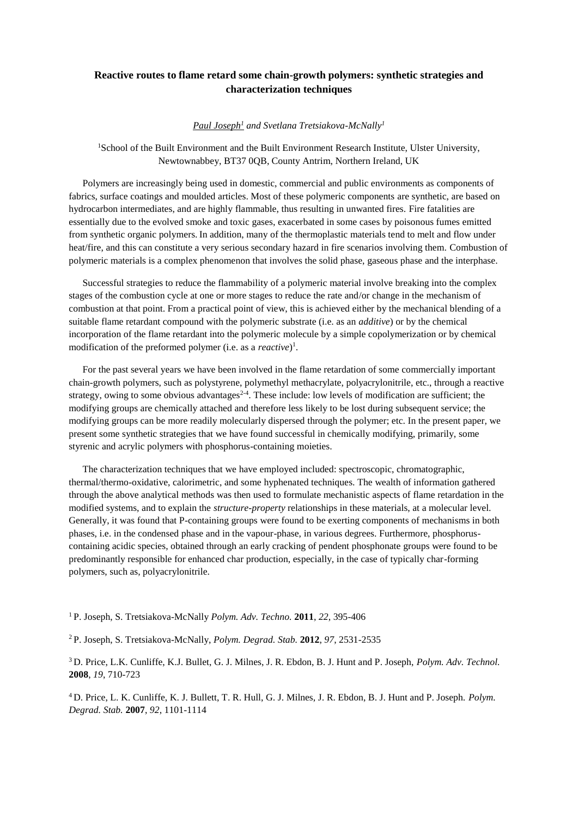## **Reactive routes to flame retard some chain-growth polymers: synthetic strategies and characterization techniques**

*Paul Joseph<sup>1</sup> and Svetlana Tretsiakova-McNally<sup>1</sup>*

<sup>1</sup>School of the Built Environment and the Built Environment Research Institute, Ulster University, Newtownabbey, BT37 0QB, County Antrim, Northern Ireland, UK

Polymers are increasingly being used in domestic, commercial and public environments as components of fabrics, surface coatings and moulded articles. Most of these polymeric components are synthetic, are based on hydrocarbon intermediates, and are highly flammable, thus resulting in unwanted fires. Fire fatalities are essentially due to the evolved smoke and toxic gases, exacerbated in some cases by poisonous fumes emitted from synthetic organic polymers. In addition, many of the thermoplastic materials tend to melt and flow under heat/fire, and this can constitute a very serious secondary hazard in fire scenarios involving them. Combustion of polymeric materials is a complex phenomenon that involves the solid phase, gaseous phase and the interphase.

Successful strategies to reduce the flammability of a polymeric material involve breaking into the complex stages of the combustion cycle at one or more stages to reduce the rate and/or change in the mechanism of combustion at that point. From a practical point of view, this is achieved either by the mechanical blending of a suitable flame retardant compound with the polymeric substrate (i.e. as an *additive*) or by the chemical incorporation of the flame retardant into the polymeric molecule by a simple copolymerization or by chemical modification of the preformed polymer (i.e. as a *reactive*) 1 .

For the past several years we have been involved in the flame retardation of some commercially important chain-growth polymers, such as polystyrene, polymethyl methacrylate, polyacrylonitrile, etc., through a reactive strategy, owing to some obvious advantages<sup>2-4</sup>. These include: low levels of modification are sufficient; the modifying groups are chemically attached and therefore less likely to be lost during subsequent service; the modifying groups can be more readily molecularly dispersed through the polymer; etc. In the present paper, we present some synthetic strategies that we have found successful in chemically modifying, primarily, some styrenic and acrylic polymers with phosphorus-containing moieties.

The characterization techniques that we have employed included: spectroscopic, chromatographic, thermal/thermo-oxidative, calorimetric, and some hyphenated techniques. The wealth of information gathered through the above analytical methods was then used to formulate mechanistic aspects of flame retardation in the modified systems, and to explain the *structure-property* relationships in these materials, at a molecular level. Generally, it was found that P-containing groups were found to be exerting components of mechanisms in both phases, i.e. in the condensed phase and in the vapour-phase, in various degrees. Furthermore, phosphoruscontaining acidic species, obtained through an early cracking of pendent phosphonate groups were found to be predominantly responsible for enhanced char production, especially, in the case of typically char-forming polymers, such as, polyacrylonitrile.

<sup>1</sup>P. Joseph, S. Tretsiakova-McNally *Polym. Adv. Techno.* **2011**, *22*, 395-406

<sup>2</sup>P. Joseph, S. Tretsiakova-McNally, *Polym. Degrad. Stab.* **2012**, *97*, 2531-2535

<sup>3</sup>D. Price, L.K. Cunliffe, K.J. Bullet, G. J. Milnes, J. R. Ebdon, B. J. Hunt and P. Joseph, *Polym. Adv. Technol.* **2008**, *19*, 710-723

<sup>4</sup>D. Price, L. K. Cunliffe, K. J. Bullett, T. R. Hull, G. J. Milnes, J. R. Ebdon, B. J. Hunt and P. Joseph. *Polym. Degrad. Stab.* **2007**, *92*, 1101-1114